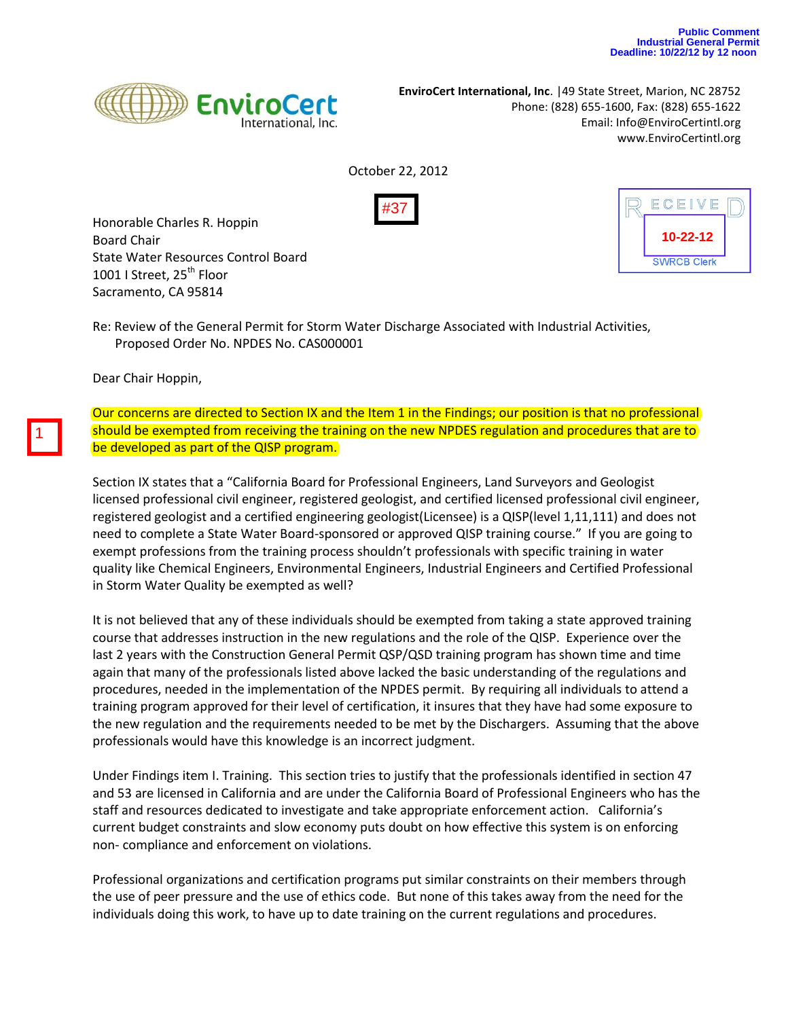

**EnviroCert International, Inc**. |49 State Street, Marion, NC 28752 Phone: (828) 655-1600, Fax: (828) 655-1622 Email: [Info@EnviroCertintl.org](mailto:Info@EnviroCertintl.org) www.EnviroCertintl.org

October 22, 2012



Honorable Charles R. Hoppin Board Chair State Water Resources Control Board 1001 I Street, 25<sup>th</sup> Floor Sacramento, CA 95814



Re: Review of the General Permit for Storm Water Discharge Associated with Industrial Activities, Proposed Order No. NPDES No. CAS000001

Dear Chair Hoppin,

Our concerns are directed to Section IX and the Item 1 in the Findings; our position is that no professional should be exempted from receiving the training on the new NPDES regulation and procedures that are to be developed as part of the QISP program.

Section IX states that a "California Board for Professional Engineers, Land Surveyors and Geologist licensed professional civil engineer, registered geologist, and certified licensed professional civil engineer, registered geologist and a certified engineering geologist(Licensee) is a QISP(level 1,11,111) and does not need to complete a State Water Board-sponsored or approved QISP training course." If you are going to exempt professions from the training process shouldn't professionals with specific training in water quality like Chemical Engineers, Environmental Engineers, Industrial Engineers and Certified Professional in Storm Water Quality be exempted as well?

It is not believed that any of these individuals should be exempted from taking a state approved training course that addresses instruction in the new regulations and the role of the QISP. Experience over the last 2 years with the Construction General Permit QSP/QSD training program has shown time and time again that many of the professionals listed above lacked the basic understanding of the regulations and procedures, needed in the implementation of the NPDES permit. By requiring all individuals to attend a training program approved for their level of certification, it insures that they have had some exposure to the new regulation and the requirements needed to be met by the Dischargers. Assuming that the above professionals would have this knowledge is an incorrect judgment.

Under Findings item I. Training. This section tries to justify that the professionals identified in section 47 and 53 are licensed in California and are under the California Board of Professional Engineers who has the staff and resources dedicated to investigate and take appropriate enforcement action. California's current budget constraints and slow economy puts doubt on how effective this system is on enforcing non- compliance and enforcement on violations.

Professional organizations and certification programs put similar constraints on their members through the use of peer pressure and the use of ethics code. But none of this takes away from the need for the individuals doing this work, to have up to date training on the current regulations and procedures.